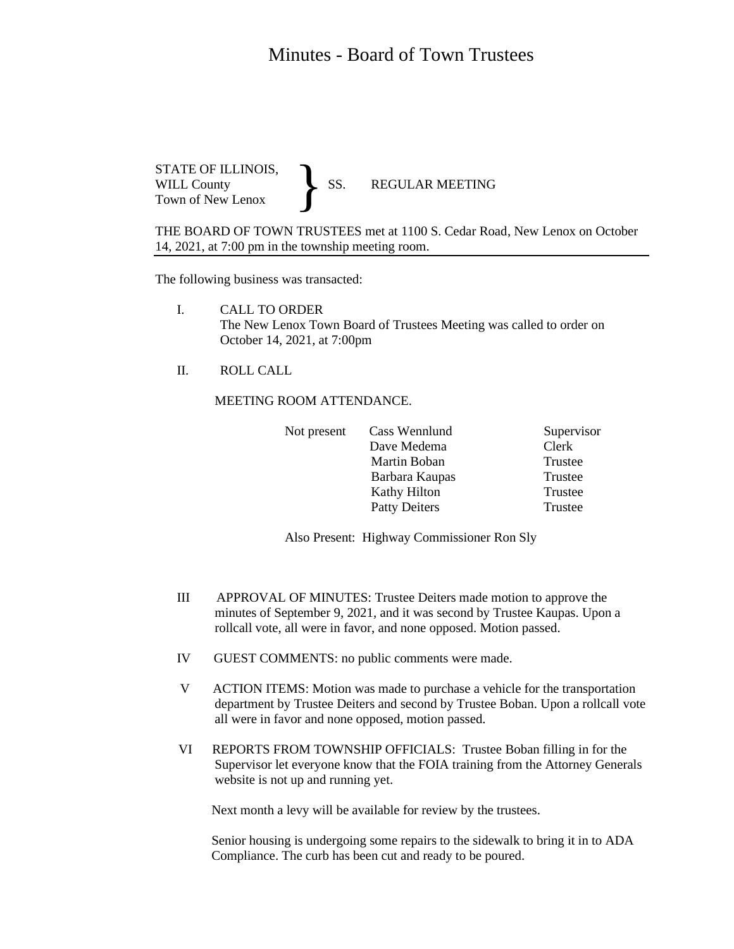## Minutes - Board of Town Trustees

STATE OF ILLINOIS,<br>WILL County SS. WILL County SS. REGULAR MEETING Town of New Lenox }

THE BOARD OF TOWN TRUSTEES met at 1100 S. Cedar Road, New Lenox on October 14, 2021, at 7:00 pm in the township meeting room.

The following business was transacted:

- I. CALL TO ORDER The New Lenox Town Board of Trustees Meeting was called to order on October 14, 2021, at 7:00pm
- II. ROLL CALL

MEETING ROOM ATTENDANCE.

| Not present | Cass Wennlund        | Supervisor |
|-------------|----------------------|------------|
|             | Dave Medema          | Clerk      |
|             | Martin Boban         | Trustee    |
|             | Barbara Kaupas       | Trustee    |
|             | Kathy Hilton         | Trustee    |
|             | <b>Patty Deiters</b> | Trustee    |
|             |                      |            |

Also Present: Highway Commissioner Ron Sly

- III APPROVAL OF MINUTES: Trustee Deiters made motion to approve the minutes of September 9, 2021, and it was second by Trustee Kaupas. Upon a rollcall vote, all were in favor, and none opposed. Motion passed.
- IV GUEST COMMENTS: no public comments were made.
- V ACTION ITEMS: Motion was made to purchase a vehicle for the transportation department by Trustee Deiters and second by Trustee Boban. Upon a rollcall vote all were in favor and none opposed, motion passed.
- VI REPORTS FROM TOWNSHIP OFFICIALS: Trustee Boban filling in for the Supervisor let everyone know that the FOIA training from the Attorney Generals website is not up and running yet.

Next month a levy will be available for review by the trustees.

 Senior housing is undergoing some repairs to the sidewalk to bring it in to ADA Compliance. The curb has been cut and ready to be poured.